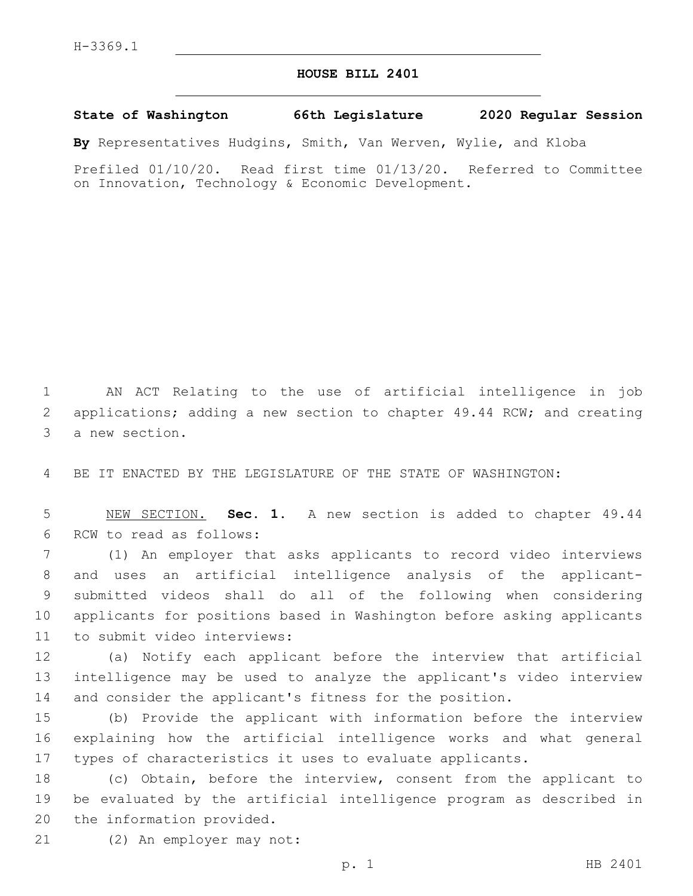## **HOUSE BILL 2401**

## **State of Washington 66th Legislature 2020 Regular Session**

**By** Representatives Hudgins, Smith, Van Werven, Wylie, and Kloba

Prefiled 01/10/20. Read first time 01/13/20. Referred to Committee on Innovation, Technology & Economic Development.

1 AN ACT Relating to the use of artificial intelligence in job 2 applications; adding a new section to chapter 49.44 RCW; and creating 3 a new section.

4 BE IT ENACTED BY THE LEGISLATURE OF THE STATE OF WASHINGTON:

5 NEW SECTION. **Sec. 1.** A new section is added to chapter 49.44 6 RCW to read as follows:

 (1) An employer that asks applicants to record video interviews and uses an artificial intelligence analysis of the applicant- submitted videos shall do all of the following when considering applicants for positions based in Washington before asking applicants 11 to submit video interviews:

12 (a) Notify each applicant before the interview that artificial 13 intelligence may be used to analyze the applicant's video interview 14 and consider the applicant's fitness for the position.

15 (b) Provide the applicant with information before the interview 16 explaining how the artificial intelligence works and what general 17 types of characteristics it uses to evaluate applicants.

18 (c) Obtain, before the interview, consent from the applicant to 19 be evaluated by the artificial intelligence program as described in 20 the information provided.

21 (2) An employer may not: